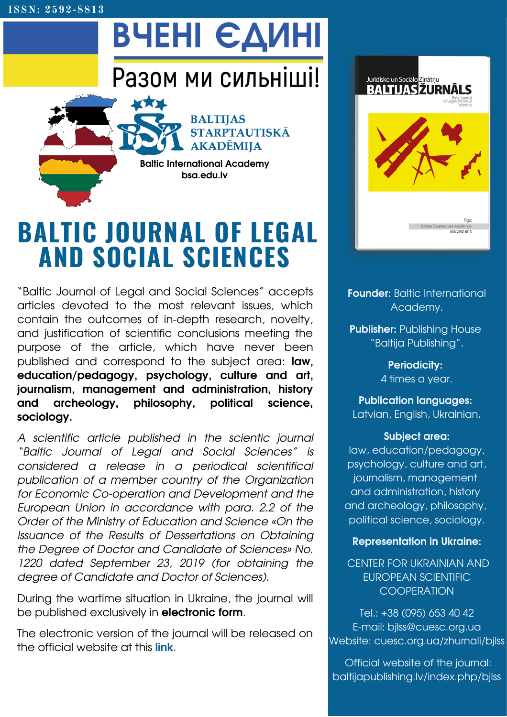# **ВЧЕНІ ЄДИНІ**

### Разом ми сильніші!



**BALTIJAS STARPTAUTISKA AKADĒMIJA** 

**Baltic [International](https://interavers.com/uk/baltijska-mizhnarodna-akademiya/) Academy [bsa.edu.lv](https://bsa.edu.lv/)**

## **BALTIC JOURNAL OF LEGAL AND SOCIAL SCIENCES**

"Baltic Journal of Legal and Social Sciences" accepts articles devoted to the most relevant issues, which contain the outcomes of in-depth research, novelty, and justification of scientific conclusions meeting the purpose of the article, which have never been published and correspond to the subject area: **law, education/pedagogy, psychology, culture and art, journalism, management and administration, history and archeology, philosophy, political science, sociology.**

A scientific article published in the scientic journal "Baltic Journal of Legal and Social Sciences" is considered a release in a periodical scientifical publication of a member country of the Organization for Economic Co-operation and Development and the European Union in accordance with para. 2.2 of the Order of the Ministry of Education and Science «On the Issuance of the Results of Dessertations on Obtaining the Degree of Doctor and Candidate of Sciences» No. 1220 dated September 23, 2019 (for obtaining the degree of Candidate and Doctor of Sciences).

During the wartime situation in Ukraine, the journal will be published exclusively in **electronic form**.

The electronic version of the journal will be released on the official website at this **[link](http://baltijapublishing.lv/index.php/bjlss)**.



**Founder:** Baltic International Academy.

**Publisher:** Publishing House "Baltija Publishing".

> **Periodicity:** 4 times a year.

**Publication languages:** Latvian, English, Ukrainian.

#### **Subject area:**

law, education/pedagogy, psychology, culture and art, journalism, management and administration, history and archeology, philosophy, political science, sociology.

#### **Representation in Ukraine:**

CENTER FOR UKRAINIAN AND EUROPEAN SCIENTIFIC **COOPERATION** 

Tel.: +38 (095) 653 40 42 E-mail: [bjlss@cuesc.org.ua](mailto:bjlss@cuesc.org.ua) [Website:](https://cuesc.org.ua/zhurnali/akj/) [cuesc.org.ua/zhurnali/bjlss](https://cuesc.org.ua/en/journals/bjlss_eng/)

Official website of the journal: [baltijapublishing.lv/index.php/bjlss](http://baltijapublishing.lv/index.php/bjlss)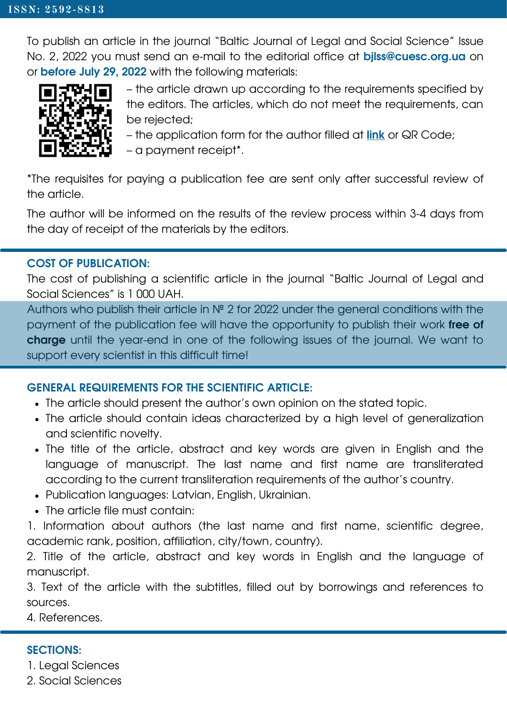To publish an article in the journal "Baltic Journal of Legal and Social Science" Issue No. 2, 2022 you must send an e-mail to the editorial office at **[bjlss@cuesc.org.ua](mailto:bjlss@cuesc.org.ua)** on or **before July 29, 2022** with the following materials:



– the article drawn up according to the requirements specified by the editors. The articles, which do not meet the requirements, can be rejected;

– the application form for the author filled at **[link](https://docs.google.com/forms/d/e/1FAIpQLSfyeTIweLAGRjgmMWni8nytNQZsLO4Byc_jmw6grPAPjn0jxQ/viewform)** or QR Code;

– a payment receipt\*.

\*The requisites for paying a publication fee are sent only after successful review of the article.

The author will be informed on the results of the review process within 3-4 days from the day of receipt of the materials by the editors.

#### **COST OF PUBLICATION:**

The cost of publishing a scientific article in the journal "Baltic Journal of Legal and Social Sciences" is 1 000 UAH.

Authors who publish their article in № 2 for 2022 under the general conditions with the payment of the publication fee will have the opportunity to publish their work **free of charge** until the year-end in one of the following issues of the journal. We want to support every scientist in this difficult time!

#### **GENERAL REQUIREMENTS FOR THE SCIENTIFIC ARTICLE:**

- The article should present the author's own opinion on the stated topic.
- The article should contain ideas characterized by a high level of generalization and scientific novelty.
- The title of the article, abstract and key words are given in English and the language of manuscript. The last name and first name are transliterated according to the current transliteration requirements of the author's country.
- Publication languages: Latvian, English, Ukrainian.
- The article file must contain:

1. Information about authors (the last name and first name, scientific degree, academic rank, position, affiliation, city/town, country).

2. Title of the article, abstract and key words in English and the language of manuscript.

3. Text of the article with the subtitles, filled out by borrowings and references to sources.

4. References.

#### **SECTIONS:**

- 1. Legal Sciences
- 2. Social Sciences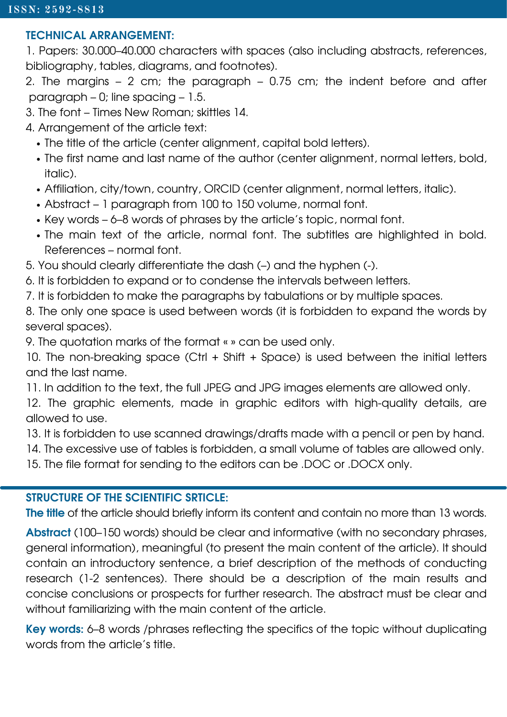#### **ТЕCHNICAL ARRANGEMENT:**

1. Papers: 30.000–40.000 characters with spaces (also including abstracts, references, bibliography, tables, diagrams, and footnotes).

2. The margins – 2 cm; the paragraph – 0.75 cm; the indent before and after paragraph – 0; line spacing – 1.5.

3. The font – Times New Roman; skittles 14.

- 4. Arrangement of the article text:
	- The title of the article (center alignment, capital bold letters).
	- The first name and last name of the author (center alignment, normal letters, bold, italic).
	- Affiliation, city/town, country, ORCID (center alignment, normal letters, italic).
	- Abstract 1 paragraph from 100 to 150 volume, normal font.
	- Key words 6–8 words of phrases by the article's topic, normal font.
	- The main text of the article, normal font. The subtitles are highlighted in bold. References – normal font.
- 5. You should clearly differentiate the dash (–) and the hyphen (-).
- 6. It is forbidden to expand or to condense the intervals between letters.
- 7. It is forbidden to make the paragraphs by tabulations or by multiple spaces.

8. The only one space is used between words (it is forbidden to expand the words by several spaces).

9. The quotation marks of the format « » can be used only.

10. The non-breaking space (Ctrl + Shift + Space) is used between the initial letters and the last name.

11. In addition to the text, the full JPEG and JPG images elements are allowed only.

12. The graphic elements, made in graphic editors with high-quality details, are allowed to use.

13. It is forbidden to use scanned drawings/drafts made with a pencil or pen by hand.

14. The excessive use of tables is forbidden, a small volume of tables are allowed only.

15. The file format for sending to the editors can be .DOC or .DOCX only.

#### **SТRUCTURE OF THE SCIENTIFIC SRTICLE:**

**The title** of the article should briefly inform its content and contain no more than 13 words.

**Abstract** (100–150 words) should be clear and informative (with no secondary phrases, general information), meaningful (to present the main content of the article). It should contain an introductory sentence, a brief description of the methods of conducting research (1-2 sentences). There should be a description of the main results and concise conclusions or prospects for further research. The abstract must be clear and without familiarizing with the main content of the article.

**Key words:** 6–8 words /phrases reflecting the specifics of the topic without duplicating words from the article's title.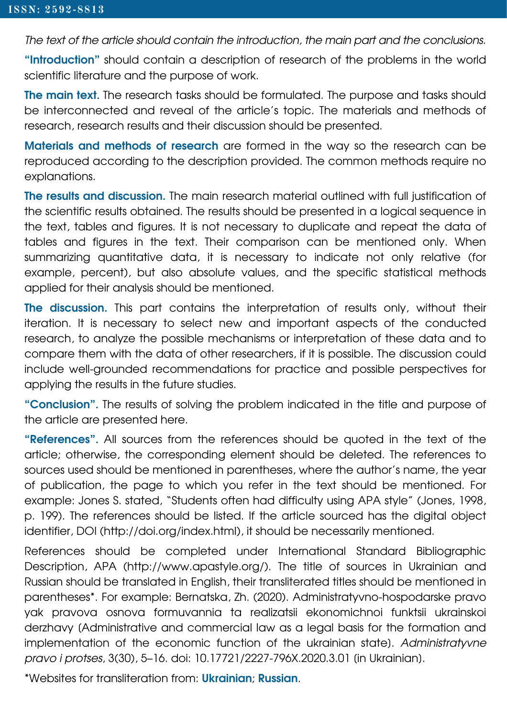The text of the article should contain the introduction, the main part and the conclusions.

**"Introduction"** should contain a description of research of the problems in the world scientific literature and the purpose of work.

**The main text.** The research tasks should be formulated. The purpose and tasks should be interconnected and reveal of the article's topic. The materials and methods of research, research results and their discussion should be presented.

**Materials and methods of research** are formed in the way so the research can be reproduced according to the description provided. The common methods require no explanations.

**The results and discussion.** The main research material outlined with full justification of the scientific results obtained. The results should be presented in a logical sequence in the text, tables and figures. It is not necessary to duplicate and repeat the data of tables and figures in the text. Their comparison can be mentioned only. When summarizing quantitative data, it is necessary to indicate not only relative (for example, percent), but also absolute values, and the specific statistical methods applied for their analysis should be mentioned.

**The discussion.** This part contains the interpretation of results only, without their iteration. It is necessary to select new and important aspects of the conducted research, to analyze the possible mechanisms or interpretation of these data and to compare them with the data of other researchers, if it is possible. The discussion could include well-grounded recommendations for practice and possible perspectives for applying the results in the future studies.

**"Conclusion".** The results of solving the problem indicated in the title and purpose of the article are presented here.

**"References".** All sources from the references should be quoted in the text of the article; otherwise, the corresponding element should be deleted. The references to sources used should be mentioned in parentheses, where the author's name, the year of publication, the page to which you refer in the text should be mentioned. For example: Jones S. stated, "Students often had difficulty using APA style" (Jones, 1998, p. 199). The references should be listed. If the article sourced has the digital object identifier, DOI ([http://doi.org/index.html\)](http://doi.org/index.html), it should be necessarily mentioned.

References should be completed under International Standard Bibliographic Description, APA (<http://www.apastyle.org/>). The title of sources in Ukrainian and Russian should be translated in English, their transliterated titles should be mentioned in parentheses\*. For example: Bernatska, Zh. (2020). Administratyvno-hospodarske pravo yak pravova osnova formuvannia ta realizatsii ekonomichnoi funktsii ukrainskoi derzhavy [Administrative and commercial law as a legal basis for the formation and implementation of the economic function of the ukrainian state]. Administratyvne pravo i protses, 3(30), 5–16. doi: 10.17721/2227-796X.2020.3.01 [in Ukrainian].

\*Websites for transliteration from: **[Ukrainian](http://ukrlit.org/transliteratsiia)**; **[Russian](https://translit.ru/ru/zagranpasport)**.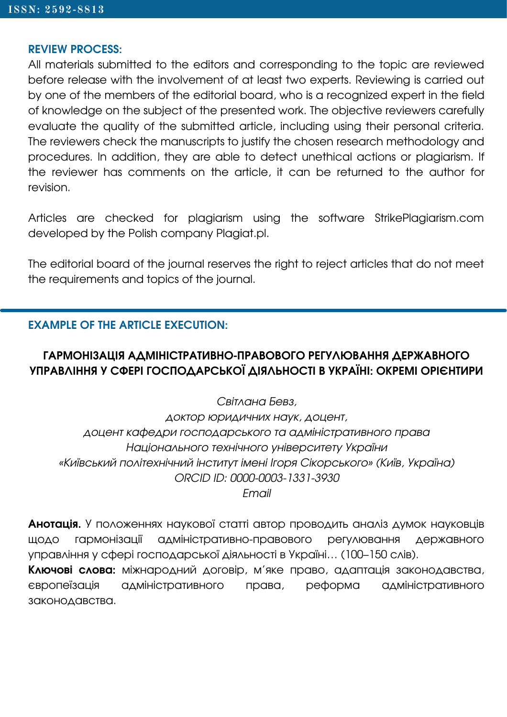#### **REVIEW PROCESS:**

All materials submitted to the editors and corresponding to the topic are reviewed before release with the involvement of at least two experts. Reviewing is carried out by one of the members of the editorial board, who is a recognized expert in the field of knowledge on the subject of the presented work. The objective reviewers carefully evaluate the quality of the submitted article, including using their personal criteria. The reviewers check the manuscripts to justify the chosen research methodology and procedures. In addition, they are able to detect unethical actions or plagiarism. If the reviewer has comments on the article, it can be returned to the author for revision.

Articles are checked for plagiarism using the software [StrikePlagiarism.com](https://strikeplagiarism.com/en/) developed by the Polish company [Plagiat.pl.](https://plagiat.pl/)

The editorial board of the journal reserves the right to reject articles that do not meet the requirements and topics of the journal.

#### **EXAMPLE OF THE ARTICLE EXECUTION:**

#### **ГАРМОНІЗАЦІЯ АДМІНІСТРАТИВНО-ПРАВОВОГО РЕГУЛЮВАННЯ ДЕРЖАВНОГО УПРАВЛІННЯ У СФЕРІ ГОСПОДАРСЬКОЇ ДІЯЛЬНОСТІ В УКРАЇНІ: ОКРЕМІ ОРІЄНТИРИ**

Світлана Бевз,

доктор юридичних наук, доцент, доцент кафедри господарського та адміністративного права Національного технічного університету України «Київський політехнічний інститут імені Ігоря Сікорського» (Київ, Україна) ORCID ID: 0000-0003-1331-3930

Email

**Анотація.** У положеннях наукової статті автор проводить аналіз думок науковців щодо гармонізації адміністративно-правового регулювання державного управління у сфері господарської діяльності в Україні… (100–150 слів).

**Ключові слова:** міжнародний договір, м'яке право, адаптація законодавства, європеїзація адміністративного права, реформа адміністративного законодавства.